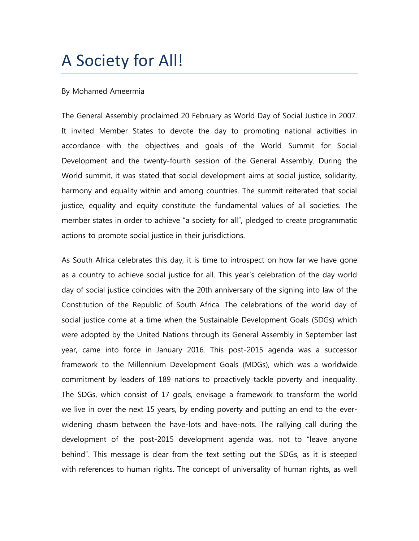## A Society for All!

## By Mohamed Ameermia

The General Assembly proclaimed 20 February as World Day of Social Justice in 2007. It invited Member States to devote the day to promoting national activities in accordance with the objectives and goals of the World Summit for Social Development and the twenty-fourth session of the General Assembly. During the World summit, it was stated that social development aims at social justice, solidarity, harmony and equality within and among countries. The summit reiterated that social justice, equality and equity constitute the fundamental values of all societies. The member states in order to achieve "a society for all", pledged to create programmatic actions to promote social justice in their jurisdictions.

As South Africa celebrates this day, it is time to introspect on how far we have gone as a country to achieve social justice for all. This year's celebration of the day world day of social justice coincides with the 20th anniversary of the signing into law of the Constitution of the Republic of South Africa. The celebrations of the world day of social justice come at a time when the Sustainable Development Goals (SDGs) which were adopted by the United Nations through its General Assembly in September last year, came into force in January 2016. This post-2015 agenda was a successor framework to the Millennium Development Goals (MDGs), which was a worldwide commitment by leaders of 189 nations to proactively tackle poverty and inequality. The SDGs, which consist of 17 goals, envisage a framework to transform the world we live in over the next 15 years, by ending poverty and putting an end to the everwidening chasm between the have-lots and have-nots. The rallying call during the development of the post-2015 development agenda was, not to "leave anyone behind". This message is clear from the text setting out the SDGs, as it is steeped with references to human rights. The concept of universality of human rights, as well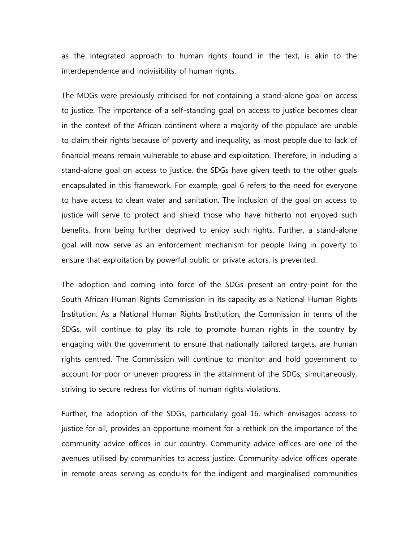as the integrated approach to human rights found in the text, is akin to the interdependence and indivisibility of human rights.

The MDGs were previously criticised for not containing a stand-alone goal on access to justice. The importance of a self-standing goal on access to justice becomes clear in the context of the African continent where a majority of the populace are unable to claim their rights because of poverty and inequality, as most people due to lack of financial means remain vulnerable to abuse and exploitation. Therefore, in including a stand-alone goal on access to justice, the SDGs have given teeth to the other goals encapsulated in this framework. For example, goal 6 refers to the need for everyone to have access to clean water and sanitation. The inclusion of the goal on access to justice will serve to protect and shield those who have hitherto not enjoyed such benefits, from being further deprived to enjoy such rights. Further, a stand-alone goal will now serve as an enforcement mechanism for people living in poverty to ensure that exploitation by powerful public or private actors, is prevented.

The adoption and coming into force of the SDGs present an entry-point for the South African Human Rights Commission in its capacity as a National Human Rights Institution. As a National Human Rights Institution, the Commission in terms of the SDGs, will continue to play its role to promote human rights in the country by engaging with the government to ensure that nationally tailored targets, are human rights centred. The Commission will continue to monitor and hold government to account for poor or uneven progress in the attainment of the SDGs, simultaneously, striving to secure redress for victims of human rights violations.

Further, the adoption of the SDGs, particularly goal 16, which envisages access to justice for all, provides an opportune moment for a rethink on the importance of the community advice offices in our country. Community advice offices are one of the avenues utilised by communities to access justice. Community advice offices operate in remote areas serving as conduits for the indigent and marginalised communities